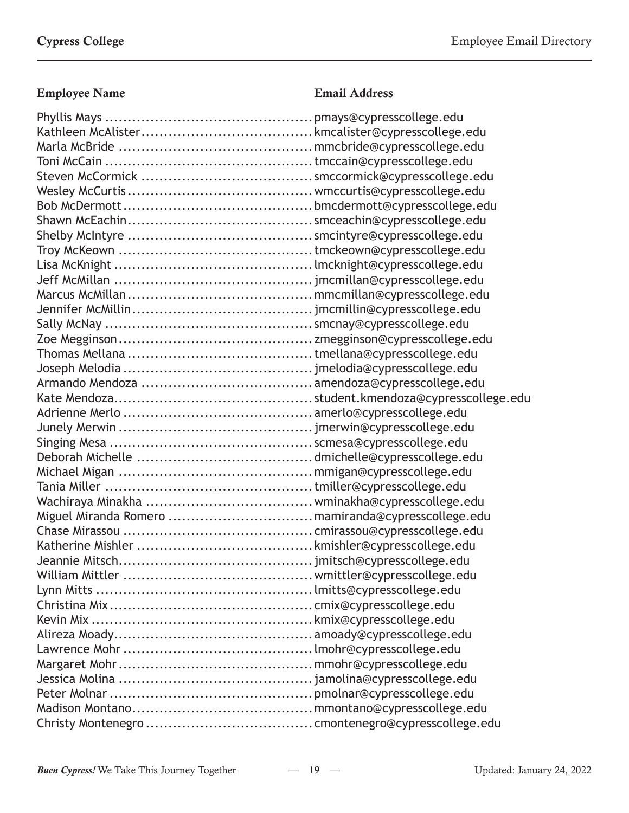| Miguel Miranda Romero  mamiranda@cypresscollege.edu |  |
|-----------------------------------------------------|--|
|                                                     |  |
|                                                     |  |
|                                                     |  |
|                                                     |  |
|                                                     |  |
|                                                     |  |
|                                                     |  |
|                                                     |  |
|                                                     |  |
|                                                     |  |
|                                                     |  |
|                                                     |  |
|                                                     |  |
|                                                     |  |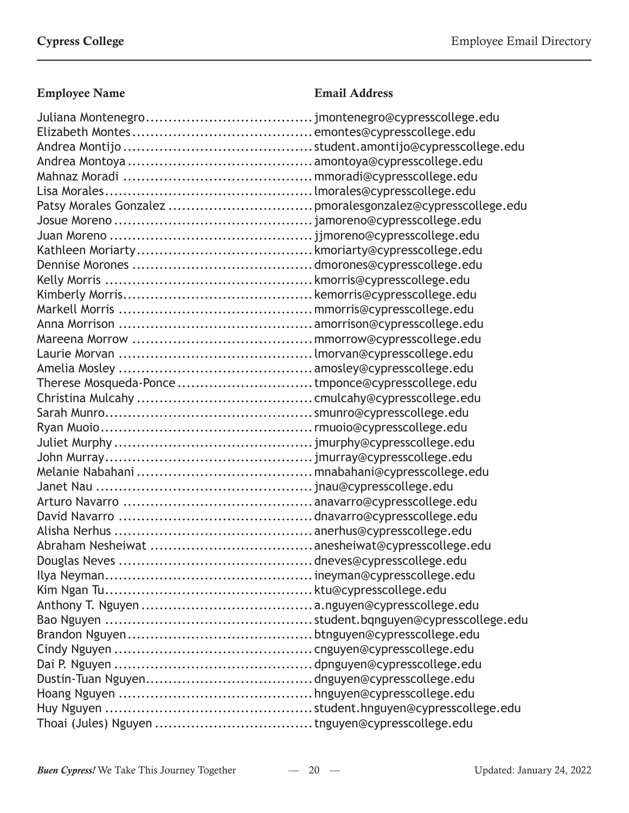| Therese Mosqueda-Ponce tmponce@cypresscollege.edu |  |
|---------------------------------------------------|--|
|                                                   |  |
|                                                   |  |
|                                                   |  |
|                                                   |  |
|                                                   |  |
|                                                   |  |
|                                                   |  |
|                                                   |  |
|                                                   |  |
|                                                   |  |
|                                                   |  |
|                                                   |  |
|                                                   |  |
|                                                   |  |
|                                                   |  |
|                                                   |  |
|                                                   |  |
|                                                   |  |
|                                                   |  |
|                                                   |  |
|                                                   |  |
|                                                   |  |
|                                                   |  |
|                                                   |  |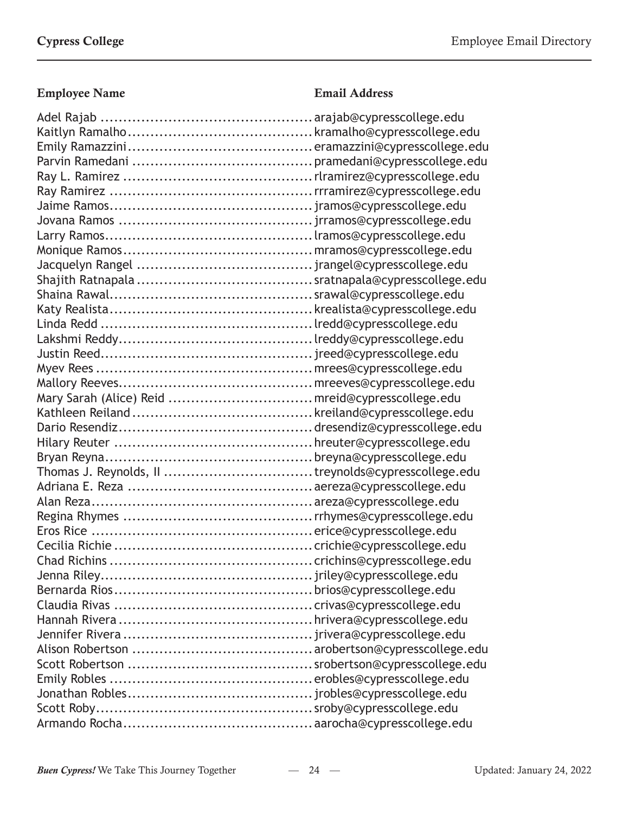| Mary Sarah (Alice) Reid  mreid@cypresscollege.edu |  |
|---------------------------------------------------|--|
|                                                   |  |
|                                                   |  |
|                                                   |  |
|                                                   |  |
|                                                   |  |
|                                                   |  |
|                                                   |  |
|                                                   |  |
|                                                   |  |
|                                                   |  |
|                                                   |  |
|                                                   |  |
|                                                   |  |
|                                                   |  |
|                                                   |  |
|                                                   |  |
|                                                   |  |
|                                                   |  |
|                                                   |  |
|                                                   |  |
|                                                   |  |
|                                                   |  |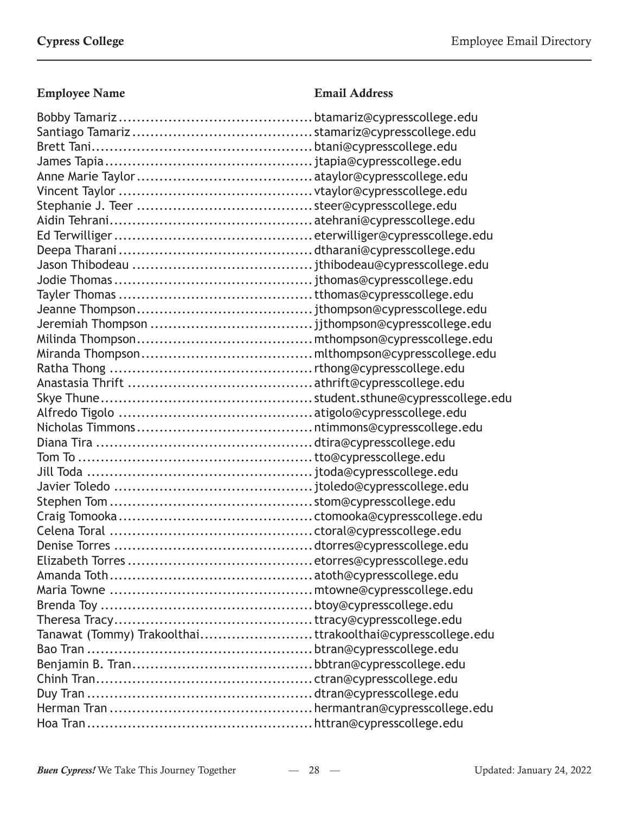| Tanawat (Tommy) Trakoolthaittrakoolthai@cypresscollege.edu |  |
|------------------------------------------------------------|--|
|                                                            |  |
|                                                            |  |
|                                                            |  |
|                                                            |  |
|                                                            |  |
|                                                            |  |